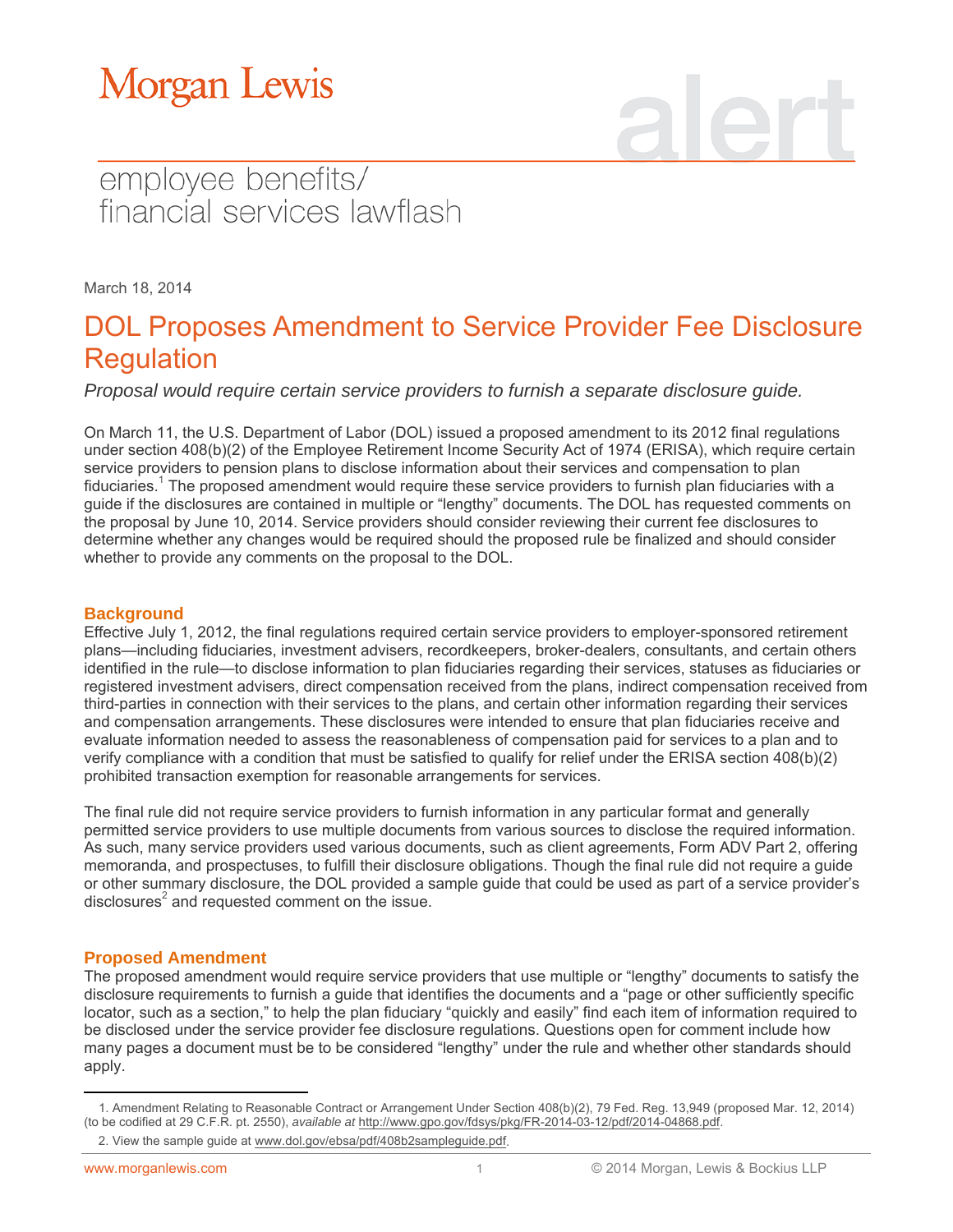### employee benefits/ financial services lawflash

March 18, 2014

### DOL Proposes Amendment to Service Provider Fee Disclosure Regulation

*Proposal would require certain service providers to furnish a separate disclosure guide.*

On March 11, the U.S. Department of Labor (DOL) issued a proposed amendment to its 2012 final regulations under section 408(b)(2) of the Employee Retirement Income Security Act of 1974 (ERISA), which require certain service providers to pension plans to disclose information about their services and compensation to plan fiduciaries.<sup>1</sup> The proposed amendment would require these service providers to furnish plan fiduciaries with a guide if the disclosures are contained in multiple or "lengthy" documents. The DOL has requested comments on the proposal by June 10, 2014. Service providers should consider reviewing their current fee disclosures to determine whether any changes would be required should the proposed rule be finalized and should consider whether to provide any comments on the proposal to the DOL.

#### **Background**

Effective July 1, 2012, the final regulations required certain service providers to employer-sponsored retirement plans—including fiduciaries, investment advisers, recordkeepers, broker-dealers, consultants, and certain others identified in the rule—to disclose information to plan fiduciaries regarding their services, statuses as fiduciaries or registered investment advisers, direct compensation received from the plans, indirect compensation received from third-parties in connection with their services to the plans, and certain other information regarding their services and compensation arrangements. These disclosures were intended to ensure that plan fiduciaries receive and evaluate information needed to assess the reasonableness of compensation paid for services to a plan and to verify compliance with a condition that must be satisfied to qualify for relief under the ERISA section 408(b)(2) prohibited transaction exemption for reasonable arrangements for services.

The final rule did not require service providers to furnish information in any particular format and generally permitted service providers to use multiple documents from various sources to disclose the required information. As such, many service providers used various documents, such as client agreements, Form ADV Part 2, offering memoranda, and prospectuses, to fulfill their disclosure obligations. Though the final rule did not require a guide or other summary disclosure, the DOL provided a sample guide that could be used as part of a service provider's disclosures $2$  and requested comment on the issue.

#### **Proposed Amendment**

The proposed amendment would require service providers that use multiple or "lengthy" documents to satisfy the disclosure requirements to furnish a guide that identifies the documents and a "page or other sufficiently specific locator, such as a section," to help the plan fiduciary "quickly and easily" find each item of information required to be disclosed under the service provider fee disclosure regulations. Questions open for comment include how many pages a document must be to be considered "lengthy" under the rule and whether other standards should apply.

 $\overline{a}$ 

<sup>1.</sup> Amendment Relating to Reasonable Contract or Arrangement Under Section 408(b)(2), 79 Fed. Reg. 13,949 (proposed Mar. 12, 2014) (to be codified at 29 C.F.R. pt. 2550), *available at* [http://www.gpo.gov/fdsys/pkg/FR-2014-03-12/pdf/2014-04868.pdf.](http://www.gpo.gov/fdsys/pkg/FR-2014-03-12/pdf/2014-04868.pdf)

<sup>2.</sup> View the sample guide at [www.dol.gov/ebsa/pdf/408b2sampleguide.pdf.](http://www.dol.gov/ebsa/pdf/408b2sampleguide.pdf)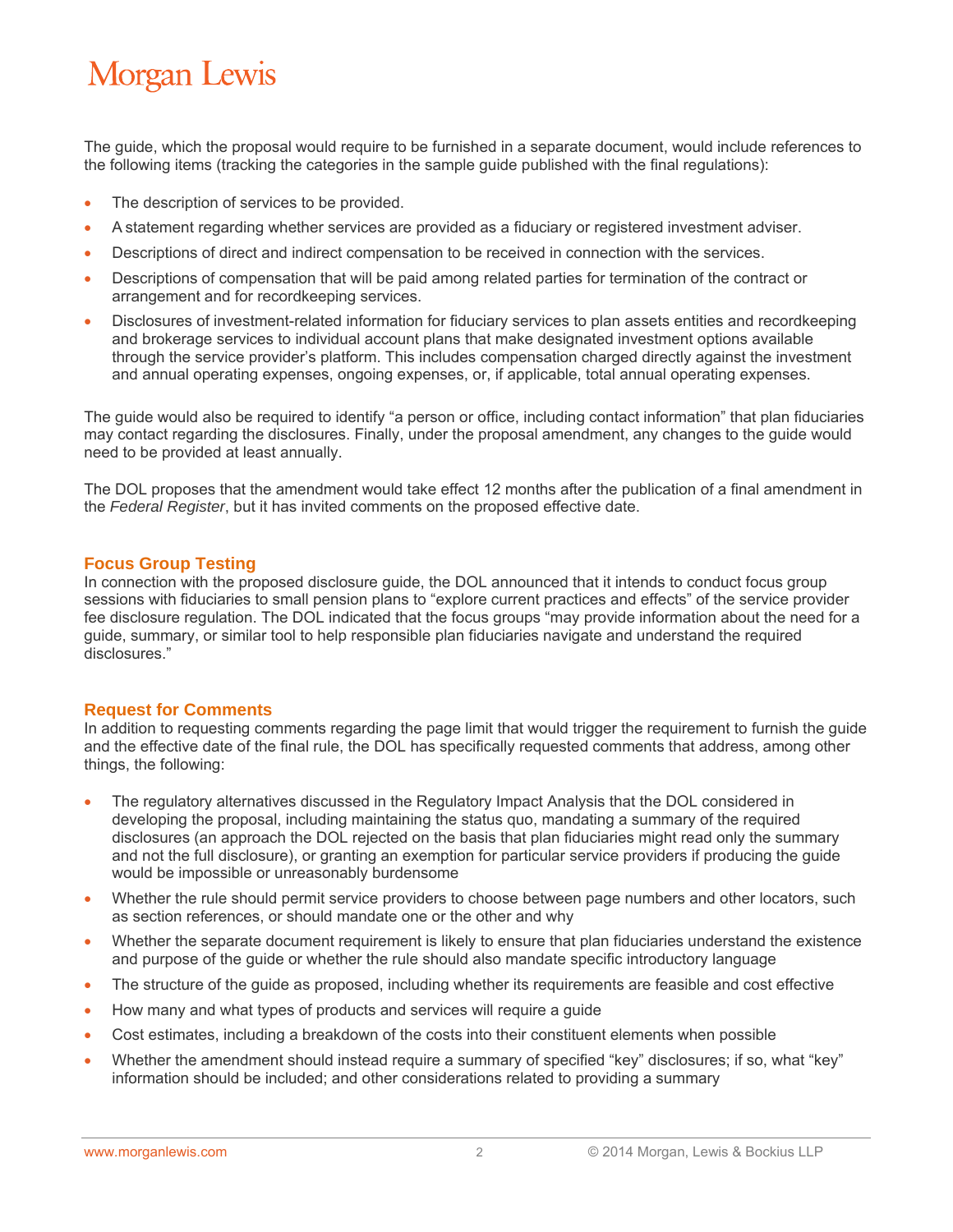The guide, which the proposal would require to be furnished in a separate document, would include references to the following items (tracking the categories in the sample guide published with the final regulations):

- The description of services to be provided.
- A statement regarding whether services are provided as a fiduciary or registered investment adviser.
- Descriptions of direct and indirect compensation to be received in connection with the services.
- Descriptions of compensation that will be paid among related parties for termination of the contract or arrangement and for recordkeeping services.
- Disclosures of investment-related information for fiduciary services to plan assets entities and recordkeeping and brokerage services to individual account plans that make designated investment options available through the service provider's platform. This includes compensation charged directly against the investment and annual operating expenses, ongoing expenses, or, if applicable, total annual operating expenses.

The guide would also be required to identify "a person or office, including contact information" that plan fiduciaries may contact regarding the disclosures. Finally, under the proposal amendment, any changes to the guide would need to be provided at least annually.

The DOL proposes that the amendment would take effect 12 months after the publication of a final amendment in the *Federal Register*, but it has invited comments on the proposed effective date.

#### **Focus Group Testing**

In connection with the proposed disclosure guide, the DOL announced that it intends to conduct focus group sessions with fiduciaries to small pension plans to "explore current practices and effects" of the service provider fee disclosure regulation. The DOL indicated that the focus groups "may provide information about the need for a guide, summary, or similar tool to help responsible plan fiduciaries navigate and understand the required disclosures."

#### **Request for Comments**

In addition to requesting comments regarding the page limit that would trigger the requirement to furnish the guide and the effective date of the final rule, the DOL has specifically requested comments that address, among other things, the following:

- The regulatory alternatives discussed in the Regulatory Impact Analysis that the DOL considered in developing the proposal, including maintaining the status quo, mandating a summary of the required disclosures (an approach the DOL rejected on the basis that plan fiduciaries might read only the summary and not the full disclosure), or granting an exemption for particular service providers if producing the guide would be impossible or unreasonably burdensome
- Whether the rule should permit service providers to choose between page numbers and other locators, such as section references, or should mandate one or the other and why
- Whether the separate document requirement is likely to ensure that plan fiduciaries understand the existence and purpose of the guide or whether the rule should also mandate specific introductory language
- The structure of the guide as proposed, including whether its requirements are feasible and cost effective
- How many and what types of products and services will require a guide
- Cost estimates, including a breakdown of the costs into their constituent elements when possible
- Whether the amendment should instead require a summary of specified "key" disclosures; if so, what "key" information should be included; and other considerations related to providing a summary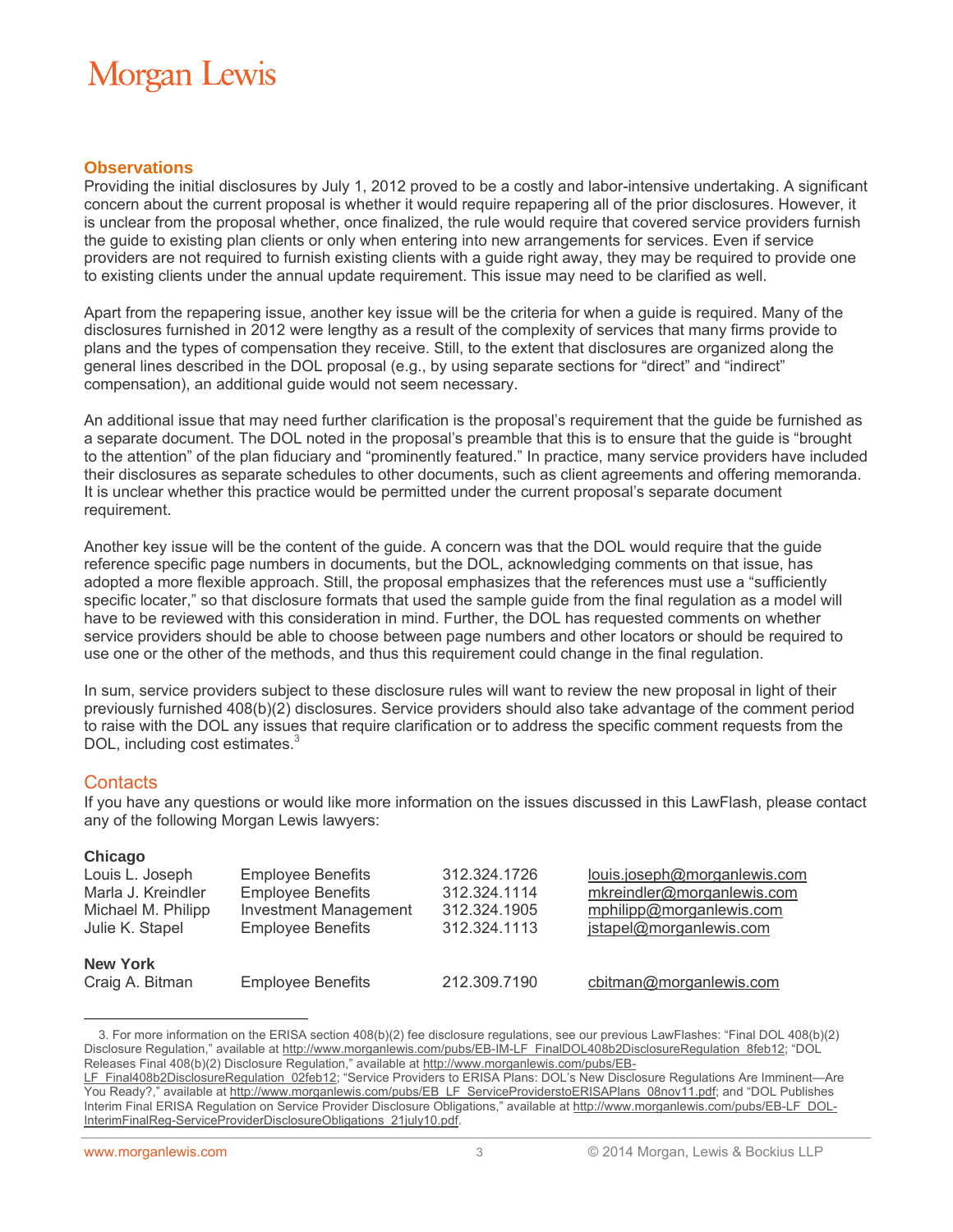#### **Observations**

Providing the initial disclosures by July 1, 2012 proved to be a costly and labor-intensive undertaking. A significant concern about the current proposal is whether it would require repapering all of the prior disclosures. However, it is unclear from the proposal whether, once finalized, the rule would require that covered service providers furnish the guide to existing plan clients or only when entering into new arrangements for services. Even if service providers are not required to furnish existing clients with a guide right away, they may be required to provide one to existing clients under the annual update requirement. This issue may need to be clarified as well.

Apart from the repapering issue, another key issue will be the criteria for when a guide is required. Many of the disclosures furnished in 2012 were lengthy as a result of the complexity of services that many firms provide to plans and the types of compensation they receive. Still, to the extent that disclosures are organized along the general lines described in the DOL proposal (e.g., by using separate sections for "direct" and "indirect" compensation), an additional guide would not seem necessary.

An additional issue that may need further clarification is the proposal's requirement that the guide be furnished as a separate document. The DOL noted in the proposal's preamble that this is to ensure that the guide is "brought to the attention" of the plan fiduciary and "prominently featured." In practice, many service providers have included their disclosures as separate schedules to other documents, such as client agreements and offering memoranda. It is unclear whether this practice would be permitted under the current proposal's separate document requirement.

Another key issue will be the content of the guide. A concern was that the DOL would require that the guide reference specific page numbers in documents, but the DOL, acknowledging comments on that issue, has adopted a more flexible approach. Still, the proposal emphasizes that the references must use a "sufficiently specific locater," so that disclosure formats that used the sample guide from the final regulation as a model will have to be reviewed with this consideration in mind. Further, the DOL has requested comments on whether service providers should be able to choose between page numbers and other locators or should be required to use one or the other of the methods, and thus this requirement could change in the final regulation.

In sum, service providers subject to these disclosure rules will want to review the new proposal in light of their previously furnished 408(b)(2) disclosures. Service providers should also take advantage of the comment period to raise with the DOL any issues that require clarification or to address the specific comment requests from the DOL, including cost estimates.<sup>3</sup>

#### **Contacts**

If you have any questions or would like more information on the issues discussed in this LawFlash, please contact any of the following Morgan Lewis lawyers:

| Chicago            |                              |              |                              |
|--------------------|------------------------------|--------------|------------------------------|
| Louis L. Joseph    | <b>Employee Benefits</b>     | 312.324.1726 | louis.joseph@morganlewis.com |
| Marla J. Kreindler | <b>Employee Benefits</b>     | 312.324.1114 | mkreindler@morganlewis.com   |
| Michael M. Philipp | <b>Investment Management</b> | 312.324.1905 | mphilipp@morganlewis.com     |
| Julie K. Stapel    | <b>Employee Benefits</b>     | 312.324.1113 | jstapel@morganlewis.com      |
| <b>New York</b>    |                              |              |                              |
| Craig A. Bitman    | <b>Employee Benefits</b>     | 212.309.7190 | cbitman@morganlewis.com      |

 $\overline{a}$ 3. For more information on the ERISA section 408(b)(2) fee disclosure regulations, see our previous LawFlashes: "Final DOL 408(b)(2) Disclosure Regulation," available a[t http://www.morganlewis.com/pubs/EB-IM-LF\\_FinalDOL408b2DisclosureRegulation\\_8feb12;](http://www.morganlewis.com/pubs/EB-IM-LF_FinalDOL408b2DisclosureRegulation_8feb12) "DOL Releases Final 408(b)(2) Disclosure Regulation," available at [http://www.morganlewis.com/pubs/EB-](http://www.morganlewis.com/pubs/EB-LF_Final408b2DisclosureRegulation_02feb12)

[LF\\_Final408b2DisclosureRegulation\\_02feb12](http://www.morganlewis.com/pubs/EB-LF_Final408b2DisclosureRegulation_02feb12); "Service Providers to ERISA Plans: DOL's New Disclosure Regulations Are Imminent—Are You Ready?," available at [http://www.morganlewis.com/pubs/EB\\_LF\\_ServiceProviderstoERISAPlans\\_08nov11.pdf;](http://www.morganlewis.com/pubs/EB_LF_ServiceProviderstoERISAPlans_08nov11.pdf) and "DOL Publishes Interim Final ERISA Regulation on Service Provider Disclosure Obligations," available a[t http://www.morganlewis.com/pubs/EB-LF\\_DOL-](http://www.morganlewis.com/pubs/EB-LF_DOL-InterimFinalReg-ServiceProviderDisclosureObligations_21july10.pdf)[InterimFinalReg-ServiceProviderDisclosureObligations\\_21july10.pdf.](http://www.morganlewis.com/pubs/EB-LF_DOL-InterimFinalReg-ServiceProviderDisclosureObligations_21july10.pdf)